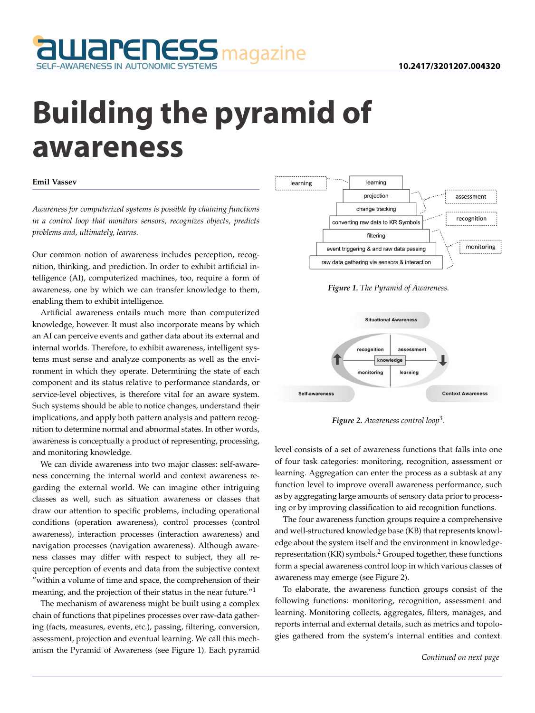

## **Building the pyramid of awareness**

## **Emil Vassev**

*Awareness for computerized systems is possible by chaining functions in a control loop that monitors sensors, recognizes objects, predicts problems and, ultimately, learns.*

Our common notion of awareness includes perception, recognition, thinking, and prediction. In order to exhibit artificial intelligence (AI), computerized machines, too, require a form of awareness, one by which we can transfer knowledge to them, enabling them to exhibit intelligence.

Artificial awareness entails much more than computerized knowledge, however. It must also incorporate means by which an AI can perceive events and gather data about its external and internal worlds. Therefore, to exhibit awareness, intelligent systems must sense and analyze components as well as the environment in which they operate. Determining the state of each component and its status relative to performance standards, or service-level objectives, is therefore vital for an aware system. Such systems should be able to notice changes, understand their implications, and apply both pattern analysis and pattern recognition to determine normal and abnormal states. In other words, awareness is conceptually a product of representing, processing, and monitoring knowledge.

We can divide awareness into two major classes: self-awareness concerning the internal world and context awareness regarding the external world. We can imagine other intriguing classes as well, such as situation awareness or classes that draw our attention to specific problems, including operational conditions (operation awareness), control processes (control awareness), interaction processes (interaction awareness) and navigation processes (navigation awareness). Although awareness classes may differ with respect to subject, they all require perception of events and data from the subjective context "within a volume of time and space, the comprehension of their meaning, and the projection of their status in the near future."<sup>1</sup>

The mechanism of awareness might be built using a complex chain of functions that pipelines processes over raw-data gathering (facts, measures, events, etc.), passing, filtering, conversion, assessment, projection and eventual learning. We call this mechanism the Pyramid of Awareness (see Figure 1). Each pyramid



*Figure 1. The Pyramid of Awareness.*



*Figure 2. Awareness control loop<sup>3</sup> .*

level consists of a set of awareness functions that falls into one of four task categories: monitoring, recognition, assessment or learning. Aggregation can enter the process as a subtask at any function level to improve overall awareness performance, such as by aggregating large amounts of sensory data prior to processing or by improving classification to aid recognition functions.

The four awareness function groups require a comprehensive and well-structured knowledge base (KB) that represents knowledge about the system itself and the environment in knowledgerepresentation (KR) symbols.<sup>2</sup> Grouped together, these functions form a special awareness control loop in which various classes of awareness may emerge (see Figure 2).

To elaborate, the awareness function groups consist of the following functions: monitoring, recognition, assessment and learning. Monitoring collects, aggregates, filters, manages, and reports internal and external details, such as metrics and topologies gathered from the system's internal entities and context.

*Continued on next page*